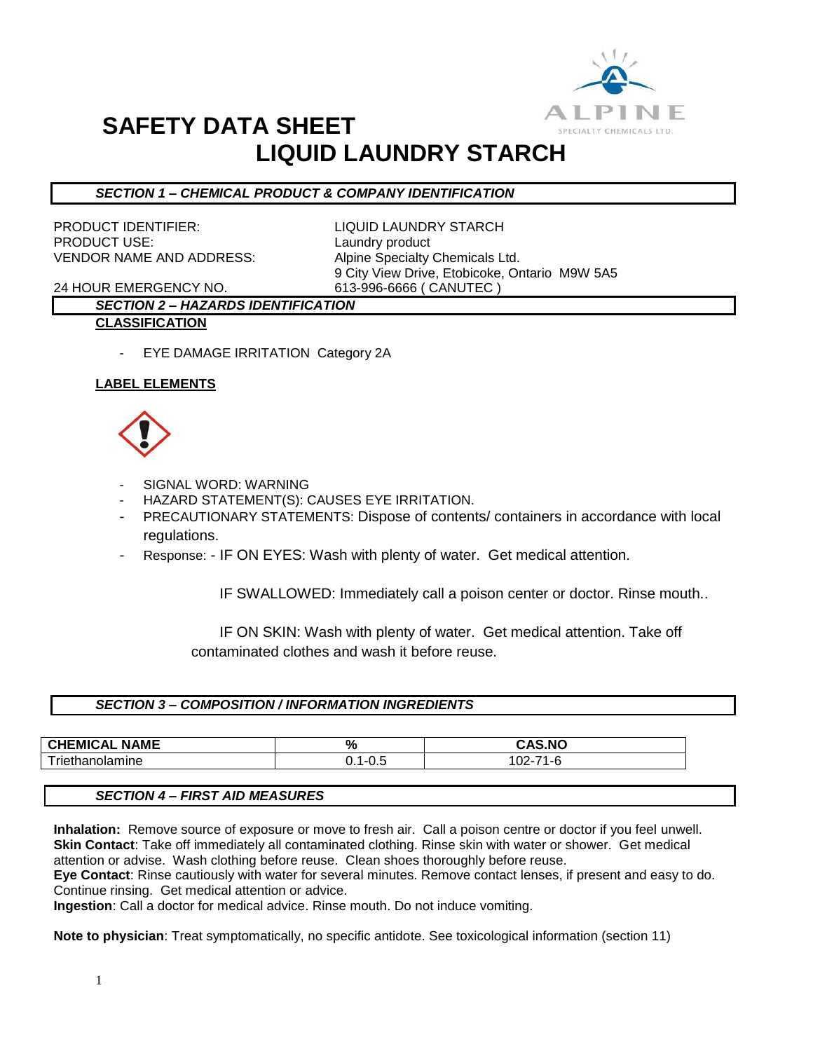

## **SAFETY DATA SHEET LIQUID LAUNDRY STARCH**

## *SECTION 1 – CHEMICAL PRODUCT & COMPANY IDENTIFICATION*

PRODUCT IDENTIFIER: LIQUID LAUNDRY STARCH PRODUCT USE: Laundry product VENDOR NAME AND ADDRESS: Alpine Specialty Chemicals Ltd.

9 City View Drive, Etobicoke, Ontario M9W 5A5

24 HOUR EMERGENCY NO. 613-996-6666 ( CANUTEC )

## *SECTION 2 – HAZARDS IDENTIFICATION* **CLASSIFICATION**

- EYE DAMAGE IRRITATION Category 2A

## **LABEL ELEMENTS**



- SIGNAL WORD: WARNING
- HAZARD STATEMENT(S): CAUSES EYE IRRITATION.
- PRECAUTIONARY STATEMENTS: Dispose of contents/ containers in accordance with local regulations.
- Response: IF ON EYES: Wash with plenty of water. Get medical attention.

IF SWALLOWED: Immediately call a poison center or doctor. Rinse mouth..

 IF ON SKIN: Wash with plenty of water. Get medical attention. Take off contaminated clothes and wash it before reuse.

#### *SECTION 3 – COMPOSITION / INFORMATION INGREDIENTS*

| <b>CHEMICAL</b><br><b>NAME</b>       | $\Omega$<br>7, | <b>CAS.NO</b>      |
|--------------------------------------|----------------|--------------------|
| $ -$<br>riet<br>mıre<br>'i idi iyidi | ีบ.<br>v.      | $\sim$<br>74<br>◡∠ |

#### *SECTION 4 – FIRST AID MEASURES*

**Inhalation:** Remove source of exposure or move to fresh air. Call a poison centre or doctor if you feel unwell. **Skin Contact**: Take off immediately all contaminated clothing. Rinse skin with water or shower. Get medical attention or advise. Wash clothing before reuse. Clean shoes thoroughly before reuse.

**Eye Contact**: Rinse cautiously with water for several minutes. Remove contact lenses, if present and easy to do. Continue rinsing. Get medical attention or advice.

**Ingestion**: Call a doctor for medical advice. Rinse mouth. Do not induce vomiting.

**Note to physician**: Treat symptomatically, no specific antidote. See toxicological information (section 11)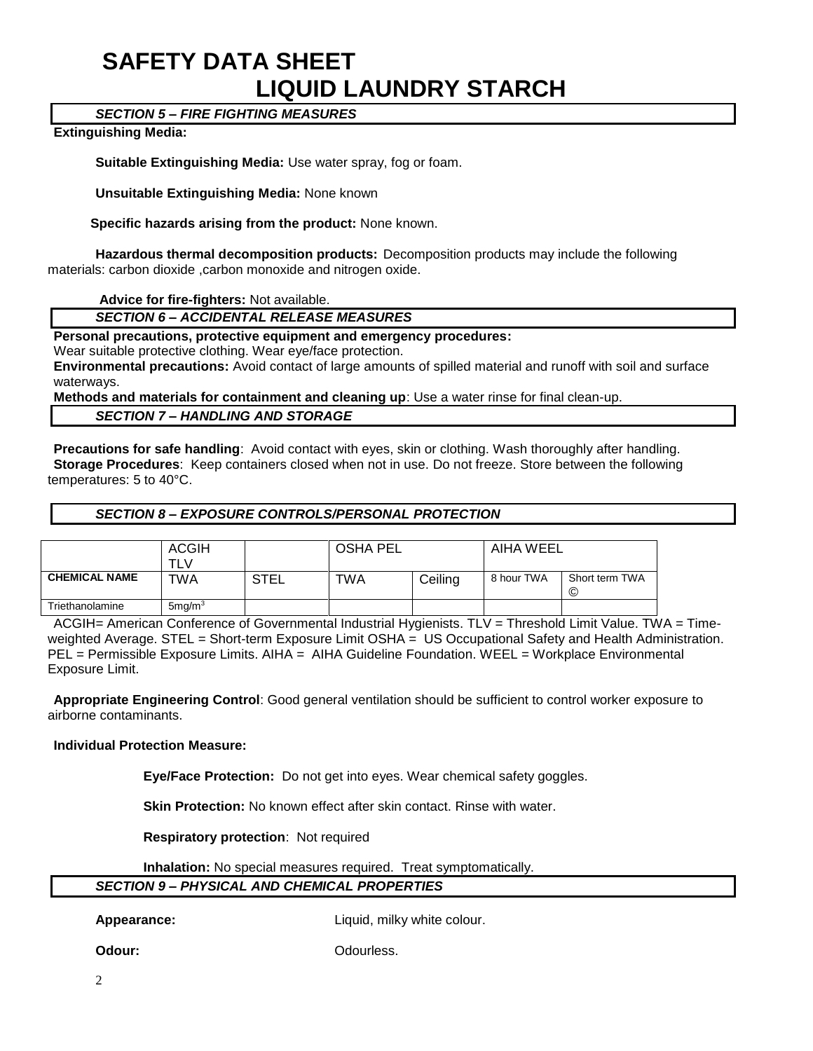## **SAFETY DATA SHEET LIQUID LAUNDRY STARCH**

## *SECTION 5 – FIRE FIGHTING MEASURES*

## **Extinguishing Media:**

**Suitable Extinguishing Media:** Use water spray, fog or foam.

**Unsuitable Extinguishing Media:** None known

 **Specific hazards arising from the product:** None known.

**Hazardous thermal decomposition products:** Decomposition products may include the following materials: carbon dioxide ,carbon monoxide and nitrogen oxide.

## **Advice for fire-fighters:** Not available.

## *SECTION 6 – ACCIDENTAL RELEASE MEASURES*

**Personal precautions, protective equipment and emergency procedures:**

Wear suitable protective clothing. Wear eye/face protection.

**Environmental precautions:** Avoid contact of large amounts of spilled material and runoff with soil and surface waterways.

**Methods and materials for containment and cleaning up**: Use a water rinse for final clean-up.

*SECTION 7 – HANDLING AND STORAGE*

**Precautions for safe handling**: Avoid contact with eyes, skin or clothing. Wash thoroughly after handling. **Storage Procedures**: Keep containers closed when not in use. Do not freeze. Store between the following temperatures: 5 to 40°C.

## *SECTION 8 – EXPOSURE CONTROLS/PERSONAL PROTECTION*

|                      | <b>ACGIH</b><br>TLV |             | <b>OSHA PEL</b> |         | AIHA WEEL  |                     |
|----------------------|---------------------|-------------|-----------------|---------|------------|---------------------|
| <b>CHEMICAL NAME</b> | TWA                 | <b>STEL</b> | TWA             | Ceiling | 8 hour TWA | Short term TWA<br>© |
| Triethanolamine      | $5 \text{mg/m}^3$   |             |                 |         |            |                     |

ACGIH= American Conference of Governmental Industrial Hygienists. TLV = Threshold Limit Value. TWA = Timeweighted Average. STEL = Short-term Exposure Limit OSHA = US Occupational Safety and Health Administration. PEL = Permissible Exposure Limits. AIHA = AIHA Guideline Foundation. WEEL = Workplace Environmental Exposure Limit.

**Appropriate Engineering Control**: Good general ventilation should be sufficient to control worker exposure to airborne contaminants.

#### **Individual Protection Measure:**

**Eye/Face Protection:** Do not get into eyes. Wear chemical safety goggles.

**Skin Protection:** No known effect after skin contact. Rinse with water.

**Respiratory protection**: Not required

**Inhalation:** No special measures required. Treat symptomatically.

#### *SECTION 9 – PHYSICAL AND CHEMICAL PROPERTIES*

**Appearance:** Liquid, milky white colour.

**Odour:** Odourless.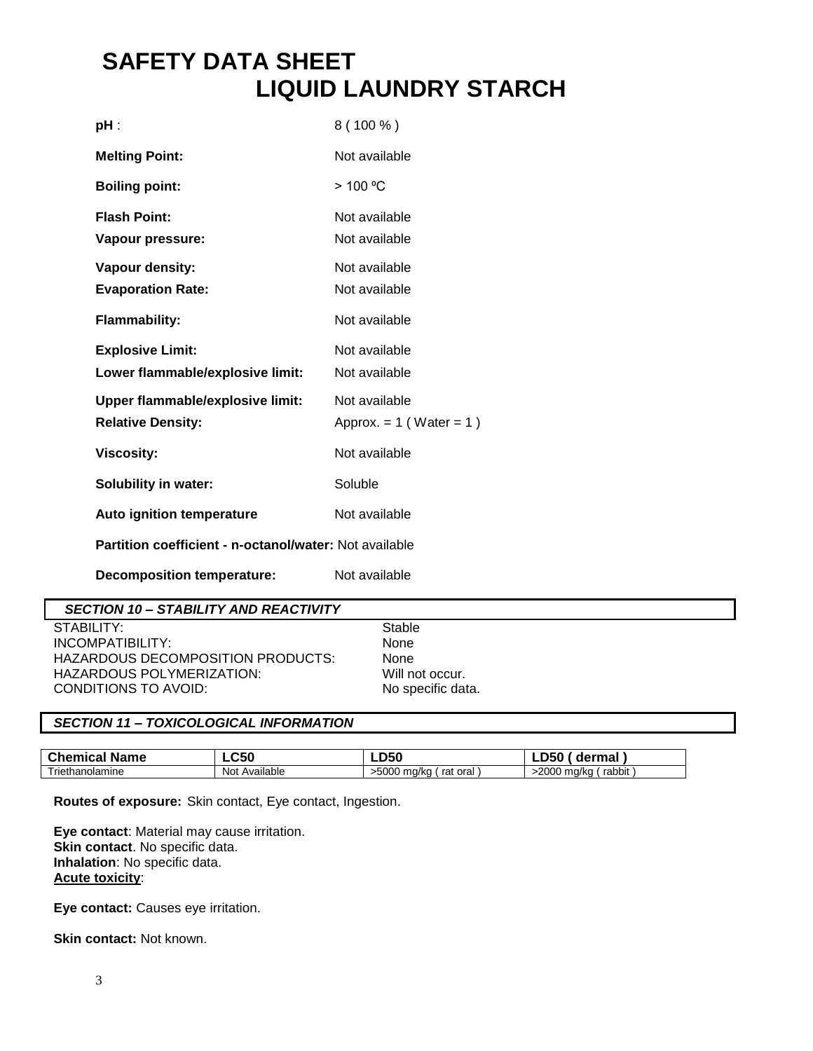# **SAFETY DATA SHEET LIQUID LAUNDRY STARCH**

| pH:                                                    | $8(100\%)$                   |  |  |  |
|--------------------------------------------------------|------------------------------|--|--|--|
| <b>Melting Point:</b>                                  | Not available                |  |  |  |
| <b>Boiling point:</b>                                  | $>$ 100 °C                   |  |  |  |
| <b>Flash Point:</b>                                    | Not available                |  |  |  |
| Vapour pressure:                                       | Not available                |  |  |  |
| Vapour density:                                        | Not available                |  |  |  |
| <b>Evaporation Rate:</b>                               | Not available                |  |  |  |
| <b>Flammability:</b>                                   | Not available                |  |  |  |
| <b>Explosive Limit:</b>                                | Not available                |  |  |  |
| Lower flammable/explosive limit:                       | Not available                |  |  |  |
| <b>Upper flammable/explosive limit:</b>                | Not available                |  |  |  |
| <b>Relative Density:</b>                               | Approx. = $1$ (Water = $1$ ) |  |  |  |
| <b>Viscosity:</b>                                      | Not available                |  |  |  |
| <b>Solubility in water:</b>                            | Soluble                      |  |  |  |
| Auto ignition temperature                              | Not available                |  |  |  |
| Partition coefficient - n-octanol/water: Not available |                              |  |  |  |
| <b>Decomposition temperature:</b>                      | Not available                |  |  |  |

## *SECTION 10 – STABILITY AND REACTIVITY*

STABILITY: Stable<br>
INCOMPATIBILITY: None INCOMPATIBILITY: HAZARDOUS DECOMPOSITION PRODUCTS: None HAZARDOUS POLYMERIZATION: Will not occur. CONDITIONS TO AVOID: No specific data.

## *SECTION 11 – TOXICOLOGICAL INFORMATION*

| <b>Chemical</b>                  | ∟C50                 | ---                            | dermal                            |
|----------------------------------|----------------------|--------------------------------|-----------------------------------|
| Name                             |                      | LD50                           | ∟טכע                              |
| $\sim$<br><b>Friethanolamine</b> | <br>Available<br>Nοι | >5000 ma/ka<br>rat oral<br>. . | $-2000$<br>rabbit<br>ma/ka<br>. . |

**Routes of exposure:** Skin contact, Eye contact, Ingestion.

**Eye contact**: Material may cause irritation. **Skin contact**. No specific data. **Inhalation**: No specific data. **Acute toxicity**:

**Eye contact:** Causes eye irritation.

**Skin contact:** Not known.